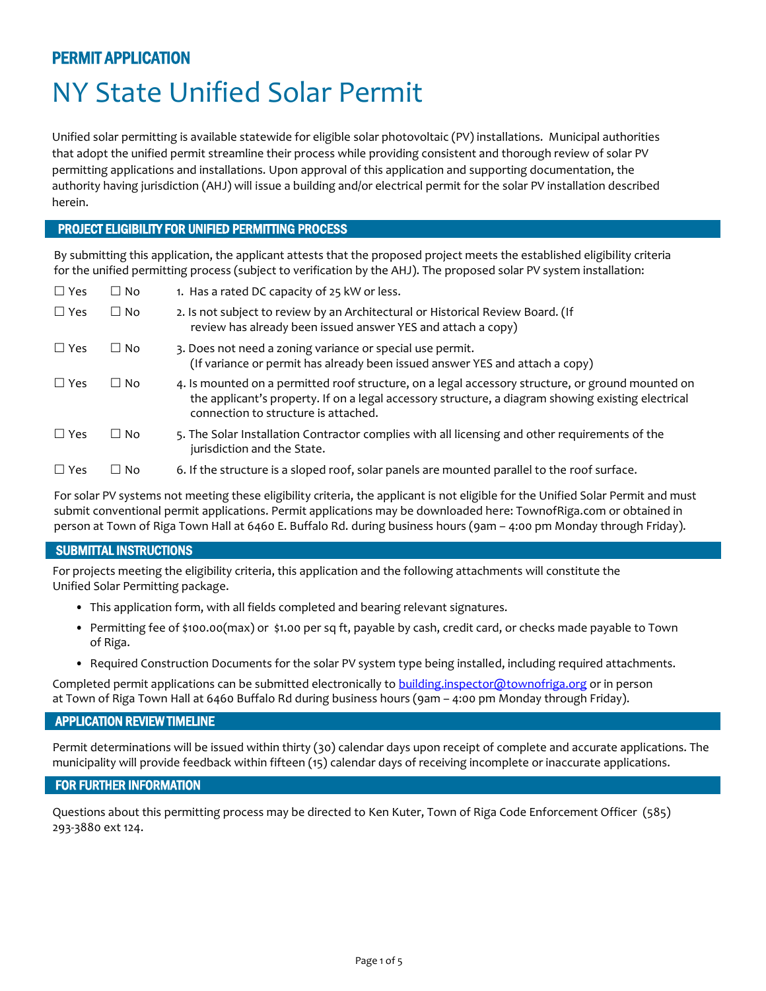### PERMIT APPLICATION

# NY State Unified Solar Permit

Unified solar permitting is available statewide for eligible solar photovoltaic (PV) installations. Municipal authorities that adopt the unified permit streamline their process while providing consistent and thorough review of solar PV permitting applications and installations. Upon approval of this application and supporting documentation, the authority having jurisdiction (AHJ) will issue a building and/or electrical permit for the solar PV installation described herein.

### PROJECT ELIGIBILITY FOR UNIFIED PERMITTING PROCESS

By submitting this application, the applicant attests that the proposed project meets the established eligibility criteria for the unified permitting process (subject to verification by the AHJ). The proposed solar PV system installation:

| $\Box$ Yes | $\Box$ No | 1. Has a rated DC capacity of 25 kW or less.                                                                                                                                                                                                    |
|------------|-----------|-------------------------------------------------------------------------------------------------------------------------------------------------------------------------------------------------------------------------------------------------|
| $\Box$ Yes | $\Box$ No | 2. Is not subject to review by an Architectural or Historical Review Board. (If<br>review has already been issued answer YES and attach a copy)                                                                                                 |
| $\Box$ Yes | $\Box$ No | 3. Does not need a zoning variance or special use permit.<br>(If variance or permit has already been issued answer YES and attach a copy)                                                                                                       |
| $\Box$ Yes | $\Box$ No | 4. Is mounted on a permitted roof structure, on a legal accessory structure, or ground mounted on<br>the applicant's property. If on a legal accessory structure, a diagram showing existing electrical<br>connection to structure is attached. |
| $\Box$ Yes | $\Box$ No | 5. The Solar Installation Contractor complies with all licensing and other requirements of the<br>jurisdiction and the State.                                                                                                                   |
| $\Box$ Yes | ∐ No      | 6. If the structure is a sloped roof, solar panels are mounted parallel to the roof surface.                                                                                                                                                    |

For solar PV systems not meeting these eligibility criteria, the applicant is not eligible for the Unified Solar Permit and must submit conventional permit applications. Permit applications may be downloaded here: TownofRiga.com or obtained in person at Town of Riga Town Hall at 6460 E. Buffalo Rd. during business hours (9am – 4:00 pm Monday through Friday).

### SUBMITTAL INSTRUCTIONS

For projects meeting the eligibility criteria, this application and the following attachments will constitute the Unified Solar Permitting package.

- This application form, with all fields completed and bearing relevant signatures.
- Permitting fee of \$100.00(max) or \$1.00 per sq ft, payable by cash, credit card, or checks made payable to Town of Riga.
- Required Construction Documents for the solar PV system type being installed, including required attachments.

Completed permit applications can be submitted electronically to [building.inspector@townofriga.org](mailto:building.inspector@townofriga.org) or in person at Town of Riga Town Hall at 6460 Buffalo Rd during business hours (9am – 4:00 pm Monday through Friday).

### APPLICATION REVIEW TIMELINE

Permit determinations will be issued within thirty (30) calendar days upon receipt of complete and accurate applications. The municipality will provide feedback within fifteen (15) calendar days of receiving incomplete or inaccurate applications.

### FOR FURTHER INFORMATION

Questions about this permitting process may be directed to Ken Kuter, Town of Riga Code Enforcement Officer (585) 293-3880 ext 124.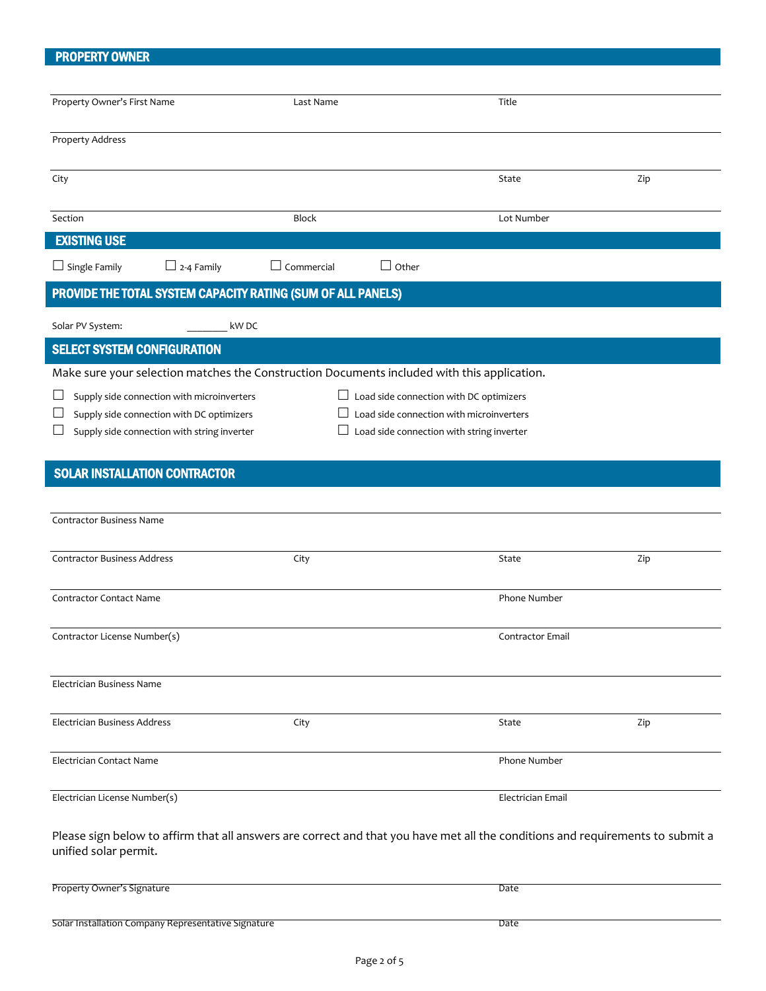### PROPERTY OWNER

| Property Owner's First Name                                                                                                    | Last Name                                           | Title             |     |  |  |
|--------------------------------------------------------------------------------------------------------------------------------|-----------------------------------------------------|-------------------|-----|--|--|
| <b>Property Address</b>                                                                                                        |                                                     |                   |     |  |  |
|                                                                                                                                |                                                     |                   |     |  |  |
| City                                                                                                                           |                                                     | State             | Zip |  |  |
|                                                                                                                                |                                                     |                   |     |  |  |
| Section                                                                                                                        | <b>Block</b>                                        | Lot Number        |     |  |  |
| <b>EXISTING USE</b>                                                                                                            |                                                     |                   |     |  |  |
| $\Box$ Single Family<br>$\Box$ 2-4 Family                                                                                      | $\Box$ Commercial<br>$\Box$ Other                   |                   |     |  |  |
| PROVIDE THE TOTAL SYSTEM CAPACITY RATING (SUM OF ALL PANELS)                                                                   |                                                     |                   |     |  |  |
|                                                                                                                                |                                                     |                   |     |  |  |
| Solar PV System:<br>kW DC                                                                                                      |                                                     |                   |     |  |  |
| <b>SELECT SYSTEM CONFIGURATION</b>                                                                                             |                                                     |                   |     |  |  |
| Make sure your selection matches the Construction Documents included with this application.                                    |                                                     |                   |     |  |  |
| Supply side connection with microinverters                                                                                     | $\Box$ Load side connection with DC optimizers      |                   |     |  |  |
| Supply side connection with DC optimizers                                                                                      | Load side connection with microinverters            |                   |     |  |  |
| Supply side connection with string inverter                                                                                    | Load side connection with string inverter<br>$\Box$ |                   |     |  |  |
| <b>SOLAR INSTALLATION CONTRACTOR</b>                                                                                           |                                                     |                   |     |  |  |
|                                                                                                                                |                                                     |                   |     |  |  |
| <b>Contractor Business Name</b>                                                                                                |                                                     |                   |     |  |  |
|                                                                                                                                |                                                     |                   |     |  |  |
| <b>Contractor Business Address</b>                                                                                             | City                                                | State             | Zip |  |  |
|                                                                                                                                |                                                     |                   |     |  |  |
| <b>Contractor Contact Name</b>                                                                                                 |                                                     | Phone Number      |     |  |  |
|                                                                                                                                |                                                     |                   |     |  |  |
| Contractor License Number(s)                                                                                                   |                                                     | Contractor Email  |     |  |  |
|                                                                                                                                |                                                     |                   |     |  |  |
| Electrician Business Name                                                                                                      |                                                     |                   |     |  |  |
| Electrician Business Address                                                                                                   | City                                                | State             | Zip |  |  |
|                                                                                                                                |                                                     |                   |     |  |  |
| Electrician Contact Name                                                                                                       |                                                     | Phone Number      |     |  |  |
|                                                                                                                                |                                                     |                   |     |  |  |
| Electrician License Number(s)                                                                                                  |                                                     | Electrician Email |     |  |  |
| Please sign below to affirm that all answers are correct and that you have met all the conditions and requirements to submit a |                                                     |                   |     |  |  |
| unified solar permit.                                                                                                          |                                                     |                   |     |  |  |
|                                                                                                                                |                                                     |                   |     |  |  |
| Property Owner's Signature                                                                                                     |                                                     | Date              |     |  |  |
|                                                                                                                                |                                                     |                   |     |  |  |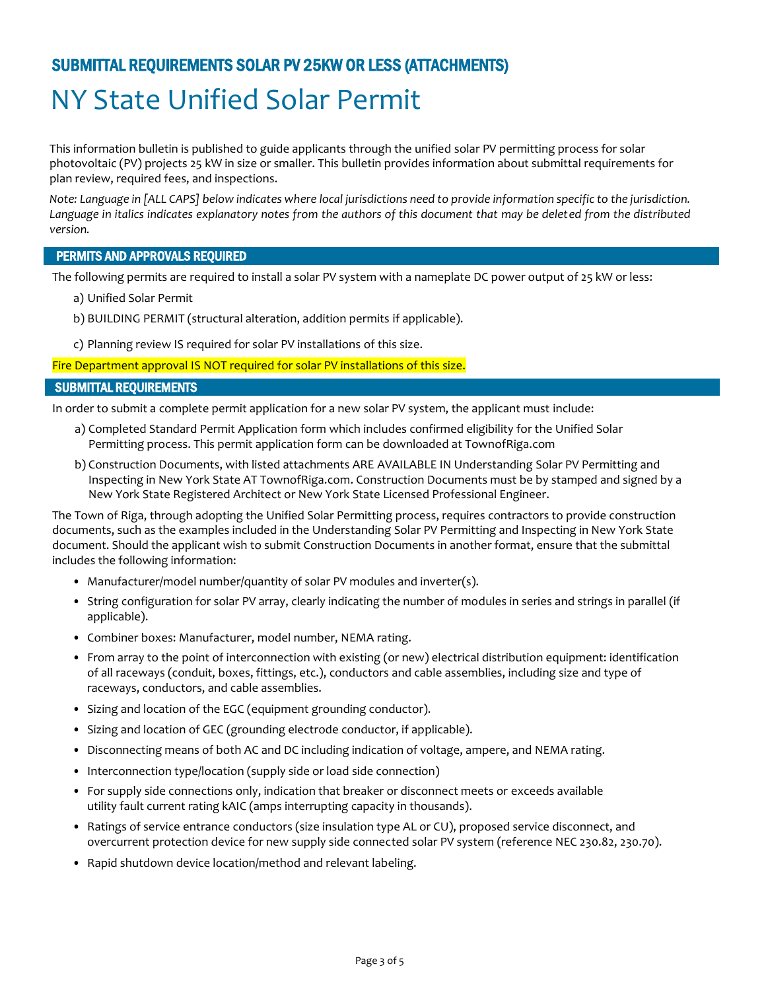## SUBMITTAL REQUIREMENTS SOLAR PV 25KW OR LESS (ATTACHMENTS)

# NY State Unified Solar Permit

This information bulletin is published to guide applicants through the unified solar PV permitting process for solar photovoltaic (PV) projects 25 kW in size or smaller. This bulletin provides information about submittal requirements for plan review, required fees, and inspections.

*Note: Language in [ALL CAPS] below indicates where local jurisdictions need to provide information specific to the jurisdiction.*  Language in italics indicates explanatory notes from the authors of this document that may be deleted from the distributed *version.*

### PERMITS AND APPROVALS REQUIRED

The following permits are required to install a solar PV system with a nameplate DC power output of 25 kW or less:

- a) Unified Solar Permit
- b) BUILDING PERMIT (structural alteration, addition permits if applicable).
- c) Planning review IS required for solar PV installations of this size.

Fire Department approval IS NOT required for solar PV installations of this size.

### SUBMITTAL REQUIREMENTS

In order to submit a complete permit application for a new solar PV system, the applicant must include:

- a) Completed Standard Permit Application form which includes confirmed eligibility for the Unified Solar Permitting process. This permit application form can be downloaded at TownofRiga.com
- b) Construction Documents, with listed attachments ARE AVAILABLE IN Understanding Solar PV Permitting and Inspecting in New York State AT TownofRiga.com. Construction Documents must be by stamped and signed by a New York State Registered Architect or New York State Licensed Professional Engineer.

The Town of Riga, through adopting the Unified Solar Permitting process, requires contractors to provide construction documents, such as the examples included in the Understanding Solar PV Permitting and Inspecting in New York State document. Should the applicant wish to submit Construction Documents in another format, ensure that the submittal includes the following information:

- Manufacturer/model number/quantity of solar PV modules and inverter(s).
- String configuration for solar PV array, clearly indicating the number of modules in series and strings in parallel (if applicable).
- Combiner boxes: Manufacturer, model number, NEMA rating.
- From array to the point of interconnection with existing (or new) electrical distribution equipment: identification of all raceways (conduit, boxes, fittings, etc.), conductors and cable assemblies, including size and type of raceways, conductors, and cable assemblies.
- Sizing and location of the EGC (equipment grounding conductor).
- Sizing and location of GEC (grounding electrode conductor, if applicable).
- Disconnecting means of both AC and DC including indication of voltage, ampere, and NEMA rating.
- Interconnection type/location (supply side or load side connection)
- For supply side connections only, indication that breaker or disconnect meets or exceeds available utility fault current rating kAIC (amps interrupting capacity in thousands).
- Ratings of service entrance conductors (size insulation type AL or CU), proposed service disconnect, and overcurrent protection device for new supply side connected solar PV system (reference NEC 230.82, 230.70).
- Rapid shutdown device location/method and relevant labeling.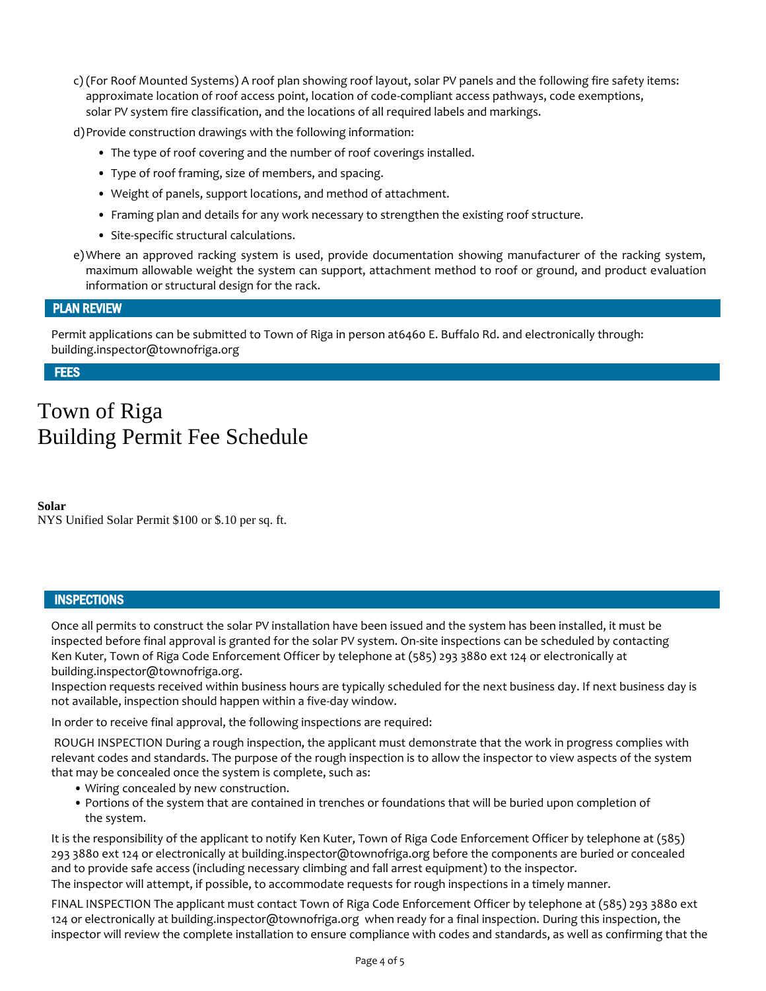c) (For Roof Mounted Systems) A roof plan showing roof layout, solar PV panels and the following fire safety items: approximate location of roof access point, location of code-compliant access pathways, code exemptions, solar PV system fire classification, and the locations of all required labels and markings.

d)Provide construction drawings with the following information:

- The type of roof covering and the number of roof coverings installed.
- Type of roof framing, size of members, and spacing.
- Weight of panels, support locations, and method of attachment.
- Framing plan and details for any work necessary to strengthen the existing roof structure.
- Site-specific structural calculations.
- e)Where an approved racking system is used, provide documentation showing manufacturer of the racking system, maximum allowable weight the system can support, attachment method to roof or ground, and product evaluation information or structural design for the rack.

### PLAN REVIEW

Permit applications can be submitted to Town of Riga in person at6460 E. Buffalo Rd. and electronically through: building.inspector@townofriga.org

**FEES** 

# Town of Riga Building Permit Fee Schedule

**Solar**  NYS Unified Solar Permit \$100 or \$.10 per sq. ft.

### **INSPECTIONS**

Once all permits to construct the solar PV installation have been issued and the system has been installed, it must be inspected before final approval is granted for the solar PV system. On-site inspections can be scheduled by contacting Ken Kuter, Town of Riga Code Enforcement Officer by telephone at (585) 293 3880 ext 124 or electronically at building.inspector@townofriga.org.

Inspection requests received within business hours are typically scheduled for the next business day. If next business day is not available, inspection should happen within a five-day window.

In order to receive final approval, the following inspections are required:

ROUGH INSPECTION During a rough inspection, the applicant must demonstrate that the work in progress complies with relevant codes and standards. The purpose of the rough inspection is to allow the inspector to view aspects of the system that may be concealed once the system is complete, such as:

- Wiring concealed by new construction.
- Portions of the system that are contained in trenches or foundations that will be buried upon completion of the system.

It is the responsibility of the applicant to notify Ken Kuter, Town of Riga Code Enforcement Officer by telephone at (585) 293 3880 ext 124 or electronically at building.inspector@townofriga.org before the components are buried or concealed and to provide safe access (including necessary climbing and fall arrest equipment) to the inspector. The inspector will attempt, if possible, to accommodate requests for rough inspections in a timely manner.

FINAL INSPECTION The applicant must contact Town of Riga Code Enforcement Officer by telephone at (585) 293 3880 ext 124 or electronically at building.inspector@townofriga.org when ready for a final inspection. During this inspection, the inspector will review the complete installation to ensure compliance with codes and standards, as well as confirming that the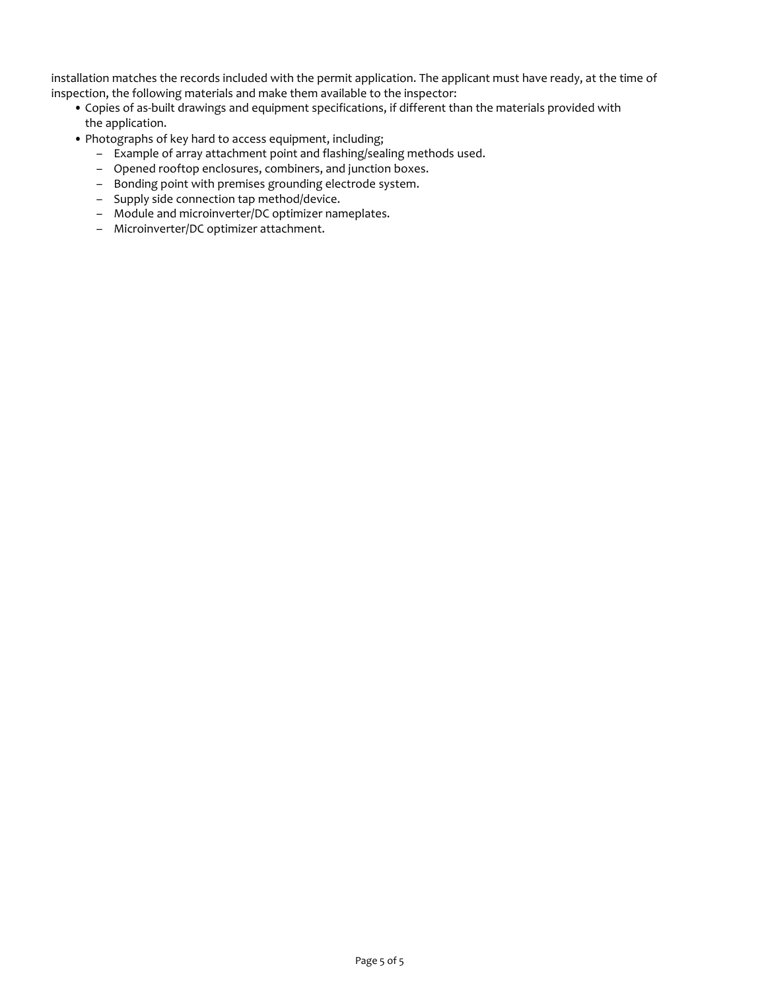installation matches the records included with the permit application. The applicant must have ready, at the time of inspection, the following materials and make them available to the inspector:

- Copies of as-built drawings and equipment specifications, if different than the materials provided with the application.
- Photographs of key hard to access equipment, including;
	- Example of array attachment point and flashing/sealing methods used.
	- Opened rooftop enclosures, combiners, and junction boxes.
	- Bonding point with premises grounding electrode system.
	- Supply side connection tap method/device.
	- Module and microinverter/DC optimizer nameplates.
	- Microinverter/DC optimizer attachment.